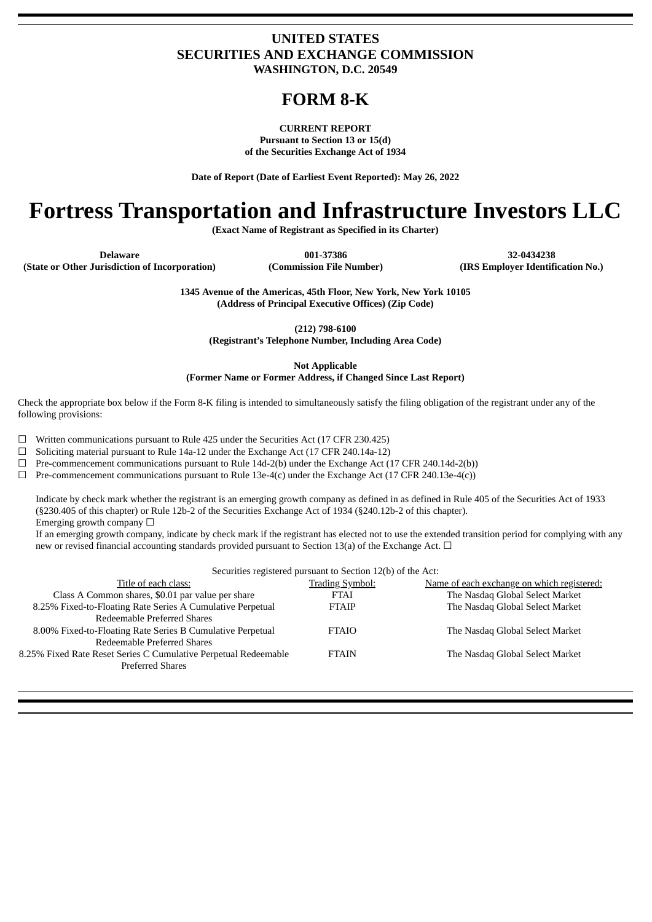### **UNITED STATES SECURITIES AND EXCHANGE COMMISSION WASHINGTON, D.C. 20549**

## **FORM 8-K**

**CURRENT REPORT Pursuant to Section 13 or 15(d) of the Securities Exchange Act of 1934**

**Date of Report (Date of Earliest Event Reported): May 26, 2022**

# **Fortress Transportation and Infrastructure Investors LLC**

**(Exact Name of Registrant as Specified in its Charter)**

**Delaware 001-37386 32-0434238**

**(State or Other Jurisdiction of Incorporation) (Commission File Number) (IRS Employer Identification No.)**

**1345 Avenue of the Americas, 45th Floor, New York, New York 10105 (Address of Principal Executive Offices) (Zip Code)**

**(212) 798-6100**

**(Registrant's Telephone Number, Including Area Code)**

**Not Applicable**

**(Former Name or Former Address, if Changed Since Last Report)**

Check the appropriate box below if the Form 8-K filing is intended to simultaneously satisfy the filing obligation of the registrant under any of the following provisions:

 $\Box$  Written communications pursuant to Rule 425 under the Securities Act (17 CFR 230.425)

 $\Box$  Soliciting material pursuant to Rule 14a-12 under the Exchange Act (17 CFR 240.14a-12)

 $\Box$  Pre-commencement communications pursuant to Rule 14d-2(b) under the Exchange Act (17 CFR 240.14d-2(b))

 $\Box$  Pre-commencement communications pursuant to Rule 13e-4(c) under the Exchange Act (17 CFR 240.13e-4(c))

Indicate by check mark whether the registrant is an emerging growth company as defined in as defined in Rule 405 of the Securities Act of 1933 (§230.405 of this chapter) or Rule 12b-2 of the Securities Exchange Act of 1934 (§240.12b-2 of this chapter). Emerging growth company  $\Box$ 

If an emerging growth company, indicate by check mark if the registrant has elected not to use the extended transition period for complying with any new or revised financial accounting standards provided pursuant to Section 13(a) of the Exchange Act.  $\Box$ 

Securities registered pursuant to Section 12(b) of the Act:

| became registered parsume to bechon 14(b) or the rice.          |                        |                                            |  |  |
|-----------------------------------------------------------------|------------------------|--------------------------------------------|--|--|
| Title of each class:                                            | <b>Trading Symbol:</b> | Name of each exchange on which registered: |  |  |
| Class A Common shares, \$0.01 par value per share               | <b>FTAI</b>            | The Nasdaq Global Select Market            |  |  |
| 8.25% Fixed-to-Floating Rate Series A Cumulative Perpetual      | <b>FTAIP</b>           | The Nasdaq Global Select Market            |  |  |
| Redeemable Preferred Shares                                     |                        |                                            |  |  |
| 8.00% Fixed-to-Floating Rate Series B Cumulative Perpetual      | <b>FTAIO</b>           | The Nasdaq Global Select Market            |  |  |
| Redeemable Preferred Shares                                     |                        |                                            |  |  |
| 8.25% Fixed Rate Reset Series C Cumulative Perpetual Redeemable | <b>FTAIN</b>           | The Nasdaq Global Select Market            |  |  |
| <b>Preferred Shares</b>                                         |                        |                                            |  |  |
|                                                                 |                        |                                            |  |  |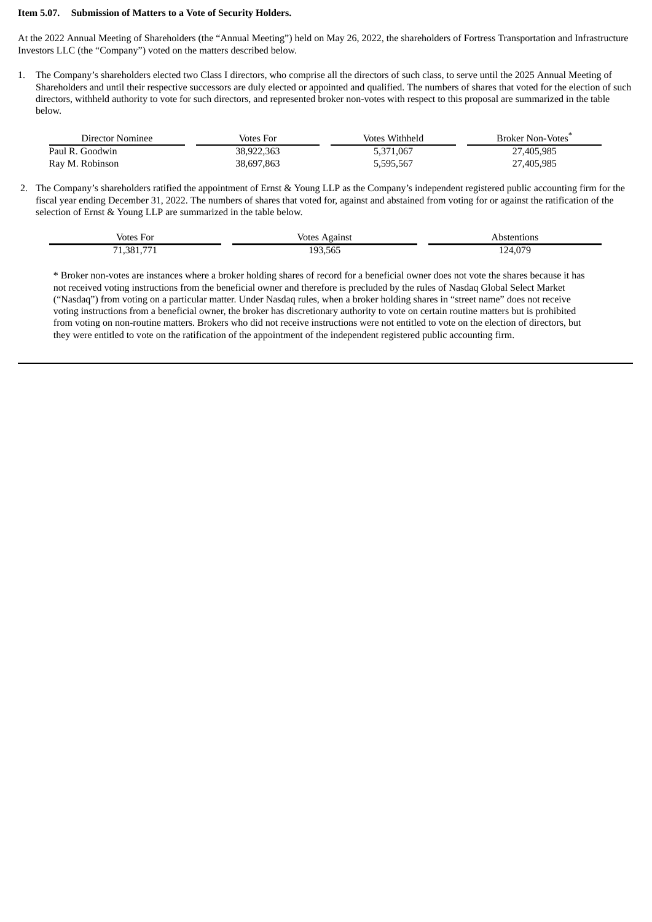#### **Item 5.07. Submission of Matters to a Vote of Security Holders.**

At the 2022 Annual Meeting of Shareholders (the "Annual Meeting") held on May 26, 2022, the shareholders of Fortress Transportation and Infrastructure Investors LLC (the "Company") voted on the matters described below.

1. The Company's shareholders elected two Class I directors, who comprise all the directors of such class, to serve until the 2025 Annual Meeting of Shareholders and until their respective successors are duly elected or appointed and qualified. The numbers of shares that voted for the election of such directors, withheld authority to vote for such directors, and represented broker non-votes with respect to this proposal are summarized in the table below.

| Director Nominee | Votes For  | Votes Withheld | <b>Broker Non-Votes</b> |
|------------------|------------|----------------|-------------------------|
| Paul R. Goodwin  | 38.922.363 | 5,371,067      | 27,405,985              |
| Ray M. Robinson  | 38,697,863 | 5,595,567      | 27,405,985              |

2. The Company's shareholders ratified the appointment of Ernst & Young LLP as the Company's independent registered public accounting firm for the fiscal year ending December 31, 2022. The numbers of shares that voted for, against and abstained from voting for or against the ratification of the selection of Ernst & Young LLP are summarized in the table below.

| Votes For<br>$\sim$ $\sim$ | Votes<br>Against | Abstentions                 |
|----------------------------|------------------|-----------------------------|
| $- -$<br>381<br>−.         | 193,565          | . 07C<br>24<br>$\ldots$<br> |

\* Broker non-votes are instances where a broker holding shares of record for a beneficial owner does not vote the shares because it has not received voting instructions from the beneficial owner and therefore is precluded by the rules of Nasdaq Global Select Market ("Nasdaq") from voting on a particular matter. Under Nasdaq rules, when a broker holding shares in "street name" does not receive voting instructions from a beneficial owner, the broker has discretionary authority to vote on certain routine matters but is prohibited from voting on non-routine matters. Brokers who did not receive instructions were not entitled to vote on the election of directors, but they were entitled to vote on the ratification of the appointment of the independent registered public accounting firm.